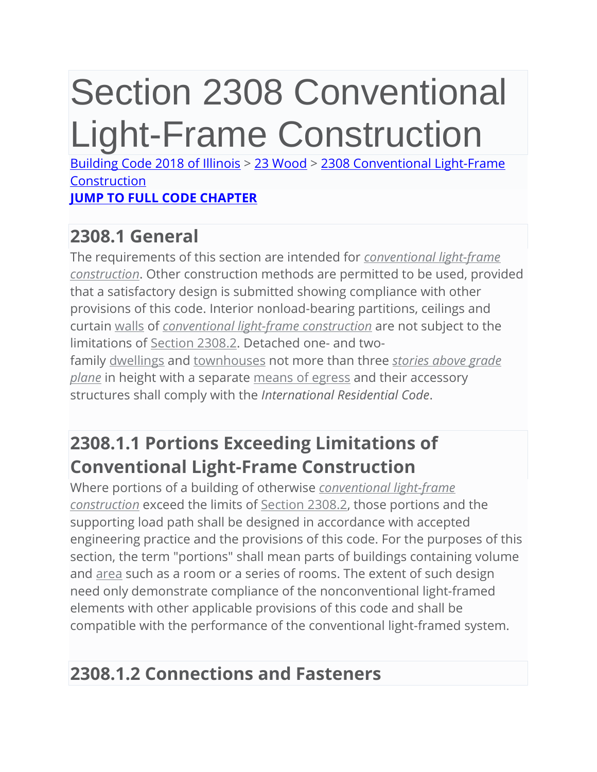# Section 2308 Conventional Light-Frame Construction

[Building Code 2018 of Illinois](https://up.codes/viewer/illinois/ibc-2018) > [23 Wood](https://up.codes/viewer/illinois/ibc-2018/chapter/23/wood#23) > [2308 Conventional Light-Frame](https://up.codes/viewer/illinois/ibc-2018/chapter/23/wood#2308)  **[Construction](https://up.codes/viewer/illinois/ibc-2018/chapter/23/wood#2308) [JUMP TO FULL CODE CHAPTER](https://up.codes/viewer/illinois/ibc-2018/chapter/23/wood#2308)**

## **2308.1 General**

The requirements of this section are intended for *[conventional light-frame](https://up.codes/viewer/illinois/ibc-2018/chapter/2/definitions#conventional_light-frame_construction)  [construction](https://up.codes/viewer/illinois/ibc-2018/chapter/2/definitions#conventional_light-frame_construction)*. Other construction methods are permitted to be used, provided that a satisfactory design is submitted showing compliance with other provisions of this code. Interior nonload-bearing partitions, ceilings and curtain [walls](https://up.codes/viewer/illinois/ibc-2018/chapter/2/definitions#wall_for_chapter_21) of *[conventional light-frame construction](https://up.codes/viewer/illinois/ibc-2018/chapter/2/definitions#conventional_light-frame_construction)* are not subject to the limitations of [Section 2308.2.](https://up.codes/viewer/illinois/ibc-2018/chapter/23/wood#2308.2) Detached one- and twofamily [dwellings](https://up.codes/viewer/illinois/ibc-2018/chapter/2/definitions#dwelling) and [townhouses](https://up.codes/viewer/illinois/ibc-2018/chapter/2/definitions#townhouse) not more than three *[stories above grade](https://up.codes/viewer/illinois/ibc-2018/chapter/2/definitions#story_above_grade_plane)  [plane](https://up.codes/viewer/illinois/ibc-2018/chapter/2/definitions#story_above_grade_plane)* in height with a separate [means of egress](https://up.codes/viewer/illinois/ibc-2018/chapter/2/definitions#means_of_egress) and their accessory structures shall comply with the *International Residential Code*.

## **2308.1.1 Portions Exceeding Limitations of Conventional Light-Frame Construction**

Where portions of a building of otherwise *[conventional light-frame](https://up.codes/viewer/illinois/ibc-2018/chapter/2/definitions#conventional_light-frame_construction)  [construction](https://up.codes/viewer/illinois/ibc-2018/chapter/2/definitions#conventional_light-frame_construction)* exceed the limits of [Section 2308.2,](https://up.codes/viewer/illinois/ibc-2018/chapter/23/wood#2308.2) those portions and the supporting load path shall be designed in accordance with accepted engineering practice and the provisions of this code. For the purposes of this section, the term "portions" shall mean parts of buildings containing volume and [area](https://up.codes/viewer/illinois/ibc-2018/chapter/2/definitions#area_for_masonry) such as a room or a series of rooms. The extent of such design need only demonstrate compliance of the nonconventional light-framed elements with other applicable provisions of this code and shall be compatible with the performance of the conventional light-framed system.

## **2308.1.2 Connections and Fasteners**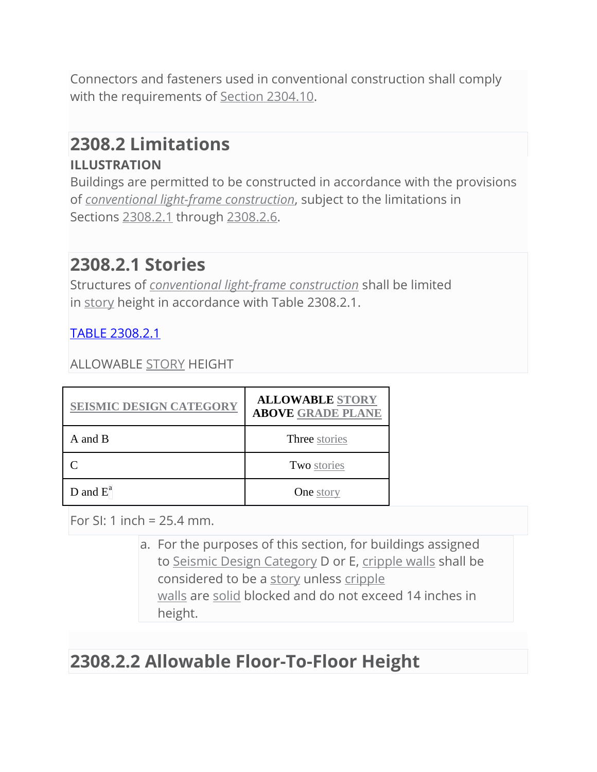Connectors and fasteners used in conventional construction shall comply with the requirements of [Section 2304.10.](https://up.codes/viewer/illinois/ibc-2018/chapter/23/wood#2304.10)

## **2308.2 Limitations ILLUSTRATION**

Buildings are permitted to be constructed in accordance with the provisions of *[conventional light-frame construction](https://up.codes/viewer/illinois/ibc-2018/chapter/2/definitions#conventional_light-frame_construction)*, subject to the limitations in Sections [2308.2.1](https://up.codes/viewer/illinois/ibc-2018/chapter/23/wood#2308.2.1) through [2308.2.6.](https://up.codes/viewer/illinois/ibc-2018/chapter/23/wood#2308.2.6)

## **2308.2.1 Stories**

Structures of *[conventional light-frame construction](https://up.codes/viewer/illinois/ibc-2018/chapter/2/definitions#conventional_light-frame_construction)* shall be limited in [story](https://up.codes/viewer/illinois/ibc-2018/chapter/2/definitions#story) height in accordance with Table 2308.2.1.

[TABLE 2308.2.1](https://up.codes/s/conventional-light-frame-construction#table_2308.2.1)

ALLOWABLE [STORY](https://up.codes/viewer/illinois/ibc-2018/chapter/2/definitions#story) HEIGHT

| <b>SEISMIC DESIGN CATEGORY</b> | <b>ALLOWABLE STORY</b><br><b>ABOVE GRADE PLANE</b> |
|--------------------------------|----------------------------------------------------|
| A and B                        | Three stories                                      |
|                                | Two stories                                        |
| $D$ and $E^a$                  | <b>One</b> story                                   |

For SI: 1 inch =  $25.4$  mm.

a. For the purposes of this section, for buildings assigned to [Seismic Design Category](https://up.codes/viewer/illinois/ibc-2018/chapter/2/definitions#seismic_design_category) D or E, [cripple walls](https://up.codes/viewer/illinois/ibc-2018/chapter/2/definitions#cripple_wall) shall be considered to be a [story](https://up.codes/viewer/illinois/ibc-2018/chapter/2/definitions#story) unless [cripple](https://up.codes/viewer/illinois/ibc-2018/chapter/2/definitions#cripple_wall)  [walls](https://up.codes/viewer/illinois/ibc-2018/chapter/2/definitions#cripple_wall) are [solid](https://up.codes/viewer/illinois/ibc-2018/chapter/2/definitions#solid) blocked and do not exceed 14 inches in height.

## **2308.2.2 Allowable Floor-To-Floor Height**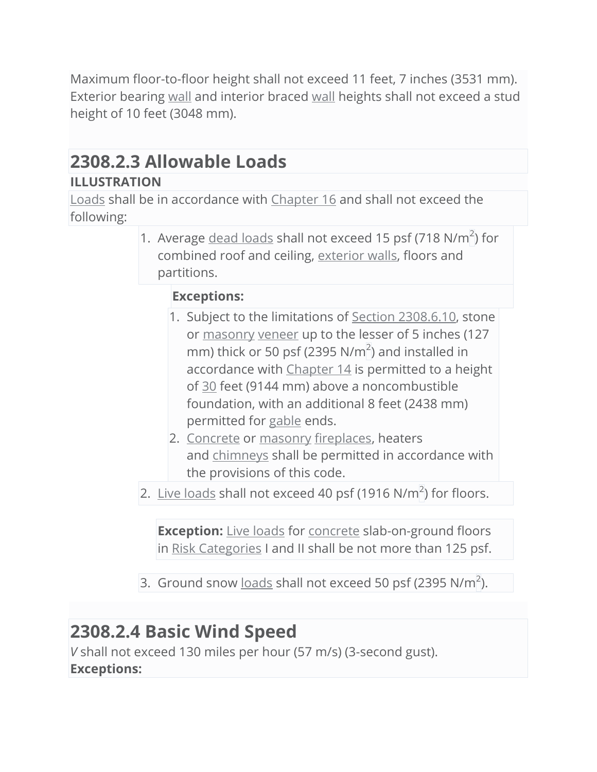Maximum floor-to-floor height shall not exceed 11 feet, 7 inches (3531 mm). Exterior bearing [wall](https://up.codes/viewer/illinois/ibc-2018/chapter/2/definitions#wall_for_chapter_21) and interior braced [wall](https://up.codes/viewer/illinois/ibc-2018/chapter/2/definitions#wall_for_chapter_21) heights shall not exceed a stud height of 10 feet (3048 mm).

## **2308.2.3 Allowable Loads**

### **ILLUSTRATION**

[Loads](https://up.codes/viewer/illinois/ibc-2018/chapter/2/definitions#loads) shall be in accordance with [Chapter 16](https://up.codes/viewer/illinois/ibc-2018/chapter/16/structural-design#16) and shall not exceed the following:

> 1. Average  $dead$  loads shall not exceed 15 psf (718 N/m<sup>2</sup>) for combined roof and ceiling, [exterior walls,](https://up.codes/viewer/illinois/ibc-2018/chapter/2/definitions#exterior_wall) floors and partitions.

### **Exceptions:**

- 1. Subject to the limitations of [Section 2308.6.10,](https://up.codes/viewer/illinois/ibc-2018/chapter/23/wood#2308.6.10) stone or [masonry](https://up.codes/viewer/illinois/ibc-2018/chapter/2/definitions#masonry) [veneer](https://up.codes/viewer/illinois/ibc-2018/chapter/2/definitions#veneer) up to the lesser of 5 inches (127 mm) thick or 50 psf (2395 N/m<sup>2</sup>) and installed in accordance with [Chapter 14](https://up.codes/viewer/illinois/ibc-2018/chapter/14/exterior-walls#14) is permitted to a height of [30](https://up.codes/viewer/illinois/ibc-2018/chapter/30/elevators-and-conveying-systems#30) feet (9144 mm) above a noncombustible foundation, with an additional 8 feet (2438 mm) permitted for [gable](https://up.codes/viewer/illinois/ibc-2018/chapter/2/definitions#gable) ends.
- 2. [Concrete](https://up.codes/viewer/illinois/ibc-2018/chapter/2/definitions#concrete) or [masonry](https://up.codes/viewer/illinois/ibc-2018/chapter/2/definitions#masonry) [fireplaces,](https://up.codes/viewer/illinois/ibc-2018/chapter/2/definitions#fireplace) heaters and [chimneys](https://up.codes/viewer/illinois/ibc-2018/chapter/2/definitions#chimney) shall be permitted in accordance with the provisions of this code.

2. [Live loads](https://up.codes/viewer/illinois/ibc-2018/chapter/2/definitions#live_load) shall not exceed 40 psf (1916 N/m<sup>2</sup>) for floors.

**Exception:** [Live loads](https://up.codes/viewer/illinois/ibc-2018/chapter/2/definitions#live_load) for [concrete](https://up.codes/viewer/illinois/ibc-2018/chapter/2/definitions#concrete) slab-on-ground floors in [Risk Categories](https://up.codes/viewer/illinois/ibc-2018/chapter/2/definitions#risk_category) I and II shall be not more than 125 psf.

3. Ground snow  $\frac{\text{loads}}{\text{balls}}$  $\frac{\text{loads}}{\text{balls}}$  $\frac{\text{loads}}{\text{balls}}$  shall not exceed 50 psf (2395 N/m<sup>2</sup>).

## **2308.2.4 Basic Wind Speed**

*V* shall not exceed 130 miles per hour (57 m/s) (3-second gust). **Exceptions:**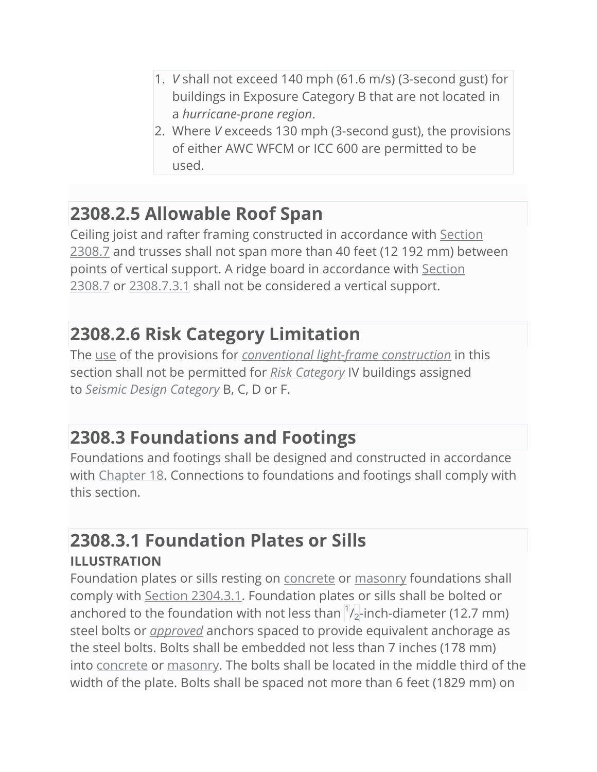- 1. *V* shall not exceed 140 mph (61.6 m/s) (3-second gust) for buildings in Exposure Category B that are not located in a *hurricane-prone region*.
- 2. Where *V* exceeds 130 mph (3-second gust), the provisions of either AWC WFCM or ICC 600 are permitted to be used.

## **2308.2.5 Allowable Roof Span**

Ceiling joist and rafter framing constructed in accordance with [Section](https://up.codes/viewer/illinois/ibc-2018/chapter/23/wood#2308.7)  [2308.7](https://up.codes/viewer/illinois/ibc-2018/chapter/23/wood#2308.7) and trusses shall not span more than 40 feet (12 192 mm) between points of vertical support. A ridge board in accordance with [Section](https://up.codes/viewer/illinois/ibc-2018/chapter/23/wood#2308.7)  [2308.7](https://up.codes/viewer/illinois/ibc-2018/chapter/23/wood#2308.7) or [2308.7.3.1](https://up.codes/viewer/illinois/ibc-2018/chapter/23/wood#2308.7.3.1) shall not be considered a vertical support.

## **2308.2.6 Risk Category Limitation**

The [use](https://up.codes/viewer/illinois/ibc-2018/chapter/2/definitions#use_material) of the provisions for *[conventional light-frame construction](https://up.codes/viewer/illinois/ibc-2018/chapter/2/definitions#conventional_light-frame_construction)* in this section shall not be permitted for *[Risk Category](https://up.codes/viewer/illinois/ibc-2018/chapter/2/definitions#risk_category)* IV buildings assigned to *[Seismic Design Category](https://up.codes/viewer/illinois/ibc-2018/chapter/2/definitions#seismic_design_category)* B, C, D or F.

## **2308.3 Foundations and Footings**

Foundations and footings shall be designed and constructed in accordance with [Chapter 18.](https://up.codes/viewer/illinois/ibc-2018/chapter/18/soils-and-foundations#18) Connections to foundations and footings shall comply with this section.

## **2308.3.1 Foundation Plates or Sills**

### **ILLUSTRATION**

Foundation plates or sills resting on [concrete](https://up.codes/viewer/illinois/ibc-2018/chapter/2/definitions#concrete) or [masonry](https://up.codes/viewer/illinois/ibc-2018/chapter/2/definitions#masonry) foundations shall comply with [Section 2304.3.1.](https://up.codes/viewer/illinois/ibc-2018/chapter/23/wood#2304.3.1) Foundation plates or sills shall be bolted or anchored to the foundation with not less than  $\frac{1}{2}$ -inch-diameter (12.7 mm) steel bolts or *[approved](https://up.codes/viewer/illinois/ibc-2018/chapter/2/definitions#approved)* anchors spaced to provide equivalent anchorage as the steel bolts. Bolts shall be embedded not less than 7 inches (178 mm) into [concrete](https://up.codes/viewer/illinois/ibc-2018/chapter/2/definitions#concrete) or [masonry.](https://up.codes/viewer/illinois/ibc-2018/chapter/2/definitions#masonry) The bolts shall be located in the middle third of the width of the plate. Bolts shall be spaced not more than 6 feet (1829 mm) on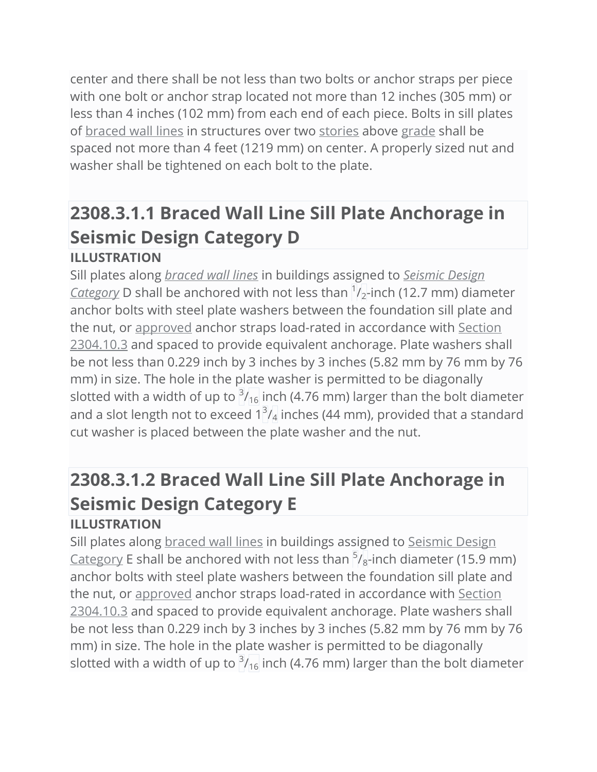center and there shall be not less than two bolts or anchor straps per piece with one bolt or anchor strap located not more than 12 inches (305 mm) or less than 4 inches (102 mm) from each end of each piece. Bolts in sill plates of [braced wall lines](https://up.codes/viewer/illinois/ibc-2018/chapter/2/definitions#braced_wall_line) in structures over two [stories](https://up.codes/viewer/illinois/ibc-2018/chapter/2/definitions#story) above [grade](https://up.codes/viewer/illinois/ibc-2018/chapter/2/definitions#grade_lumber) shall be spaced not more than 4 feet (1219 mm) on center. A properly sized nut and washer shall be tightened on each bolt to the plate.

## **2308.3.1.1 Braced Wall Line Sill Plate Anchorage in Seismic Design Category D ILLUSTRATION**

Sill plates along *[braced wall lines](https://up.codes/viewer/illinois/ibc-2018/chapter/2/definitions#braced_wall_line)* in buildings assigned to *[Seismic Design](https://up.codes/viewer/illinois/ibc-2018/chapter/2/definitions#seismic_design_category)  [Category](https://up.codes/viewer/illinois/ibc-2018/chapter/2/definitions#seismic_design_category)* D shall be anchored with not less than  $\frac{1}{2}$ -inch (12.7 mm) diameter anchor bolts with steel plate washers between the foundation sill plate and the nut, or [approved](https://up.codes/viewer/illinois/ibc-2018/chapter/2/definitions#approved) anchor straps load-rated in accordance with [Section](https://up.codes/viewer/illinois/ibc-2018/chapter/23/wood#2304.10.3)  [2304.10.3](https://up.codes/viewer/illinois/ibc-2018/chapter/23/wood#2304.10.3) and spaced to provide equivalent anchorage. Plate washers shall be not less than 0.229 inch by 3 inches by 3 inches (5.82 mm by 76 mm by 76 mm) in size. The hole in the plate washer is permitted to be diagonally slotted with a width of up to  $3/16$  inch (4.76 mm) larger than the bolt diameter and a slot length not to exceed  $1^3\prime_4$  inches (44 mm), provided that a standard cut washer is placed between the plate washer and the nut.

## **2308.3.1.2 Braced Wall Line Sill Plate Anchorage in Seismic Design Category E ILLUSTRATION**

Sill plates along [braced wall lines](https://up.codes/viewer/illinois/ibc-2018/chapter/2/definitions#braced_wall_line) in buildings assigned to [Seismic Design](https://up.codes/viewer/illinois/ibc-2018/chapter/2/definitions#seismic_design_category)  <u>[Category](https://up.codes/viewer/illinois/ibc-2018/chapter/2/definitions#seismic_design_category)</u> E shall be anchored with not less than  $\frac{5}{8}$ -inch diameter (15.9 mm) anchor bolts with steel plate washers between the foundation sill plate and the nut, or [approved](https://up.codes/viewer/illinois/ibc-2018/chapter/2/definitions#approved) anchor straps load-rated in accordance with [Section](https://up.codes/viewer/illinois/ibc-2018/chapter/23/wood#2304.10.3)  [2304.10.3](https://up.codes/viewer/illinois/ibc-2018/chapter/23/wood#2304.10.3) and spaced to provide equivalent anchorage. Plate washers shall be not less than 0.229 inch by 3 inches by 3 inches (5.82 mm by 76 mm by 76 mm) in size. The hole in the plate washer is permitted to be diagonally slotted with a width of up to  $3/16$  inch (4.76 mm) larger than the bolt diameter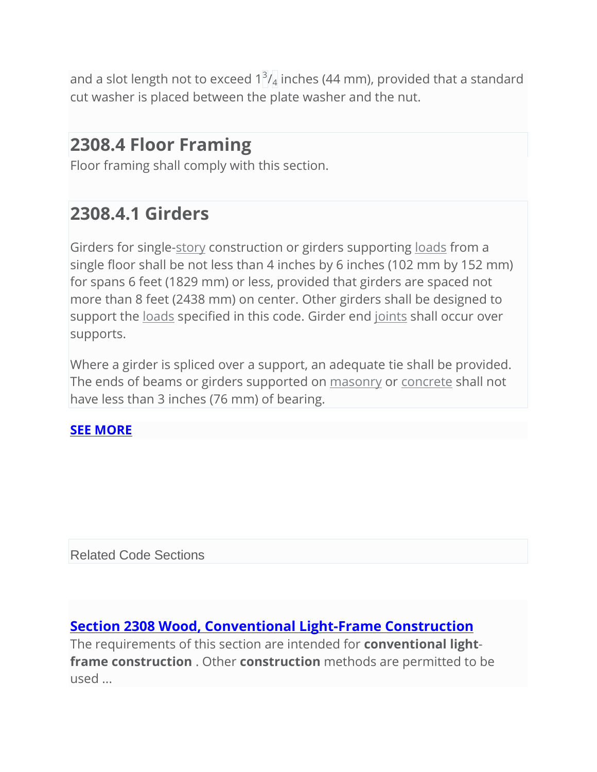and a slot length not to exceed  $1^3\prime_4$  inches (44 mm), provided that a standard cut washer is placed between the plate washer and the nut.

## **2308.4 Floor Framing**

Floor framing shall comply with this section.

## **2308.4.1 Girders**

Girders for single[-story](https://up.codes/viewer/illinois/ibc-2018/chapter/2/definitions#story) construction or girders supporting [loads](https://up.codes/viewer/illinois/ibc-2018/chapter/2/definitions#loads) from a single floor shall be not less than 4 inches by 6 inches (102 mm by 152 mm) for spans 6 feet (1829 mm) or less, provided that girders are spaced not more than 8 feet (2438 mm) on center. Other girders shall be designed to support the [loads](https://up.codes/viewer/illinois/ibc-2018/chapter/2/definitions#loads) specified in this code. Girder end [joints](https://up.codes/viewer/illinois/ibc-2018/chapter/2/definitions#joint) shall occur over supports.

Where a girder is spliced over a support, an adequate tie shall be provided. The ends of beams or girders supported on [masonry](https://up.codes/viewer/illinois/ibc-2018/chapter/2/definitions#masonry) or [concrete](https://up.codes/viewer/illinois/ibc-2018/chapter/2/definitions#concrete) shall not have less than 3 inches (76 mm) of bearing.

### **[SEE MORE](https://up.codes/viewer/illinois/ibc-2018/chapter/23/wood#2308)**

Related Code Sections

### **[Section 2308 Wood, Conventional Light-Frame Construction](https://up.codes/viewer/illinois/ibc-2018/chapter/23/wood#2308)**

The requirements of this section are intended for **conventional lightframe construction** . Other **construction** methods are permitted to be used ...